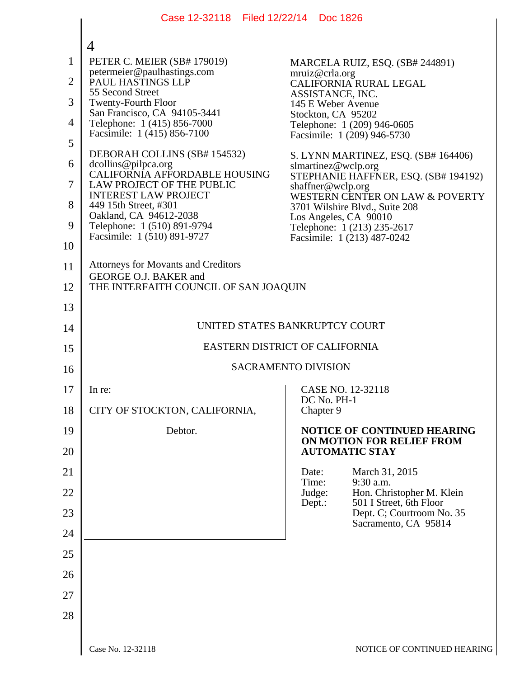|                | Case 12-32118 Filed 12/22/14 Doc 1826                                          |                                                                                        |  |
|----------------|--------------------------------------------------------------------------------|----------------------------------------------------------------------------------------|--|
|                |                                                                                |                                                                                        |  |
| 1              | 4<br>PETER C. MEIER (SB# 179019)                                               | MARCELA RUIZ, ESQ. (SB# 244891)                                                        |  |
| $\overline{2}$ | petermeier@paulhastings.com<br>PAUL HASTINGS LLP                               | mruiz@crla.org<br>CALIFORNIA RURAL LEGAL                                               |  |
| 3              | 55 Second Street<br><b>Twenty-Fourth Floor</b>                                 | ASSISTANCE, INC.<br>145 E Weber Avenue                                                 |  |
| 4              | San Francisco, CA 94105-3441                                                   | Stockton, CA 95202                                                                     |  |
| 5              | Telephone: 1 (415) 856-7000<br>Facsimile: 1 (415) 856-7100                     | Telephone: 1 (209) 946-0605<br>Facsimile: 1 (209) 946-5730                             |  |
| 6              | DEBORAH COLLINS (SB# 154532)<br>dcollins@pilpca.org                            | S. LYNN MARTINEZ, ESQ. (SB# 164406)                                                    |  |
| 7              | CALIFORNIA AFFORDABLE HOUSING<br>LAW PROJECT OF THE PUBLIC                     | slmartinez@wclp.org<br>STEPHANIE HAFFNER, ESQ. (SB# 194192)                            |  |
|                | <b>INTEREST LAW PROJECT</b>                                                    | shaffner@wclp.org<br>WESTERN CENTER ON LAW & POVERTY                                   |  |
| 8<br>9         | 449 15th Street, #301<br>Oakland, CA 94612-2038<br>Telephone: 1 (510) 891-9794 | 3701 Wilshire Blvd., Suite 208<br>Los Angeles, CA 90010<br>Telephone: 1 (213) 235-2617 |  |
| 10             | Facsimile: 1 (510) 891-9727                                                    | Facsimile: 1 (213) 487-0242                                                            |  |
| 11             | <b>Attorneys for Movants and Creditors</b>                                     |                                                                                        |  |
| 12             | GEORGE O.J. BAKER and<br>THE INTERFAITH COUNCIL OF SAN JOAQUIN                 |                                                                                        |  |
| 13             |                                                                                |                                                                                        |  |
| 14             | UNITED STATES BANKRUPTCY COURT                                                 |                                                                                        |  |
| 15             | EASTERN DISTRICT OF CALIFORNIA                                                 |                                                                                        |  |
| 16             | <b>SACRAMENTO DIVISION</b>                                                     |                                                                                        |  |
| 17             | In re:                                                                         | CASE NO. 12-32118<br>DC No. PH-1                                                       |  |
| 18             | CITY OF STOCKTON, CALIFORNIA,                                                  | Chapter 9                                                                              |  |
| 19             | Debtor.                                                                        | <b>NOTICE OF CONTINUED HEARING</b><br>ON MOTION FOR RELIEF FROM                        |  |
| 20             |                                                                                | <b>AUTOMATIC STAY</b>                                                                  |  |
| 21             |                                                                                | March 31, 2015<br>Date:<br>Time:<br>9:30 a.m.                                          |  |
| 22             |                                                                                | Hon. Christopher M. Klein<br>Judge:<br>501 I Street, 6th Floor<br>Dept.:               |  |
| 23             |                                                                                | Dept. C; Courtroom No. 35<br>Sacramento, CA 95814                                      |  |
| 24             |                                                                                |                                                                                        |  |
| 25             |                                                                                |                                                                                        |  |
| 26             |                                                                                |                                                                                        |  |
| 27             |                                                                                |                                                                                        |  |
| 28             |                                                                                |                                                                                        |  |
|                |                                                                                |                                                                                        |  |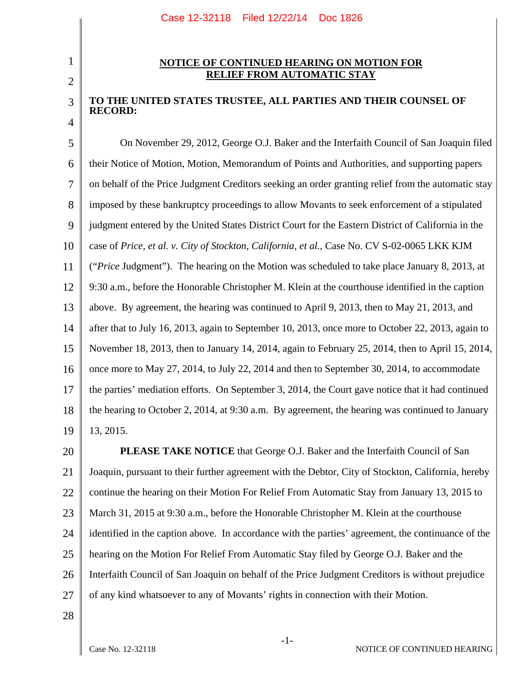## 2

3

4

1

## **NOTICE OF CONTINUED HEARING ON MOTION FOR RELIEF FROM AUTOMATIC STAY**

## **TO THE UNITED STATES TRUSTEE, ALL PARTIES AND THEIR COUNSEL OF RECORD:**

5 6 7 8 9 10 11 12 13 14 15 16 17 18 19 On November 29, 2012, George O.J. Baker and the Interfaith Council of San Joaquin filed their Notice of Motion, Motion, Memorandum of Points and Authorities, and supporting papers on behalf of the Price Judgment Creditors seeking an order granting relief from the automatic stay imposed by these bankruptcy proceedings to allow Movants to seek enforcement of a stipulated judgment entered by the United States District Court for the Eastern District of California in the case of *Price, et al. v. City of Stockton, California, et al.*, Case No. CV S-02-0065 LKK KJM ("*Price* Judgment"). The hearing on the Motion was scheduled to take place January 8, 2013, at 9:30 a.m., before the Honorable Christopher M. Klein at the courthouse identified in the caption above. By agreement, the hearing was continued to April 9, 2013, then to May 21, 2013, and after that to July 16, 2013, again to September 10, 2013, once more to October 22, 2013, again to November 18, 2013, then to January 14, 2014, again to February 25, 2014, then to April 15, 2014, once more to May 27, 2014, to July 22, 2014 and then to September 30, 2014, to accommodate the parties' mediation efforts. On September 3, 2014, the Court gave notice that it had continued the hearing to October 2, 2014, at 9:30 a.m. By agreement, the hearing was continued to January 13, 2015.

20 21 22 23 24 25 26 27 **PLEASE TAKE NOTICE** that George O.J. Baker and the Interfaith Council of San Joaquin, pursuant to their further agreement with the Debtor, City of Stockton, California, hereby continue the hearing on their Motion For Relief From Automatic Stay from January 13, 2015 to March 31, 2015 at 9:30 a.m., before the Honorable Christopher M. Klein at the courthouse identified in the caption above. In accordance with the parties' agreement, the continuance of the hearing on the Motion For Relief From Automatic Stay filed by George O.J. Baker and the Interfaith Council of San Joaquin on behalf of the Price Judgment Creditors is without prejudice of any kind whatsoever to any of Movants' rights in connection with their Motion.

28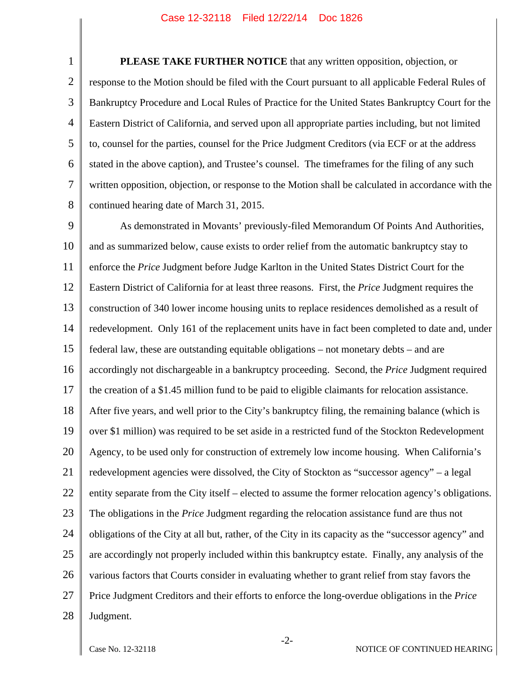1 2 3 4 5 6 7 8 **PLEASE TAKE FURTHER NOTICE** that any written opposition, objection, or response to the Motion should be filed with the Court pursuant to all applicable Federal Rules of Bankruptcy Procedure and Local Rules of Practice for the United States Bankruptcy Court for the Eastern District of California, and served upon all appropriate parties including, but not limited to, counsel for the parties, counsel for the Price Judgment Creditors (via ECF or at the address stated in the above caption), and Trustee's counsel. The timeframes for the filing of any such written opposition, objection, or response to the Motion shall be calculated in accordance with the continued hearing date of March 31, 2015.

9 10 11 12 13 14 15 16 17 18 19 20 21 22 23 24 25 26 27 28 As demonstrated in Movants' previously-filed Memorandum Of Points And Authorities, and as summarized below, cause exists to order relief from the automatic bankruptcy stay to enforce the *Price* Judgment before Judge Karlton in the United States District Court for the Eastern District of California for at least three reasons. First, the *Price* Judgment requires the construction of 340 lower income housing units to replace residences demolished as a result of redevelopment. Only 161 of the replacement units have in fact been completed to date and, under federal law, these are outstanding equitable obligations – not monetary debts – and are accordingly not dischargeable in a bankruptcy proceeding. Second, the *Price* Judgment required the creation of a \$1.45 million fund to be paid to eligible claimants for relocation assistance. After five years, and well prior to the City's bankruptcy filing, the remaining balance (which is over \$1 million) was required to be set aside in a restricted fund of the Stockton Redevelopment Agency, to be used only for construction of extremely low income housing. When California's redevelopment agencies were dissolved, the City of Stockton as "successor agency" – a legal entity separate from the City itself – elected to assume the former relocation agency's obligations. The obligations in the *Price* Judgment regarding the relocation assistance fund are thus not obligations of the City at all but, rather, of the City in its capacity as the "successor agency" and are accordingly not properly included within this bankruptcy estate. Finally, any analysis of the various factors that Courts consider in evaluating whether to grant relief from stay favors the Price Judgment Creditors and their efforts to enforce the long-overdue obligations in the *Price* Judgment.

-2-